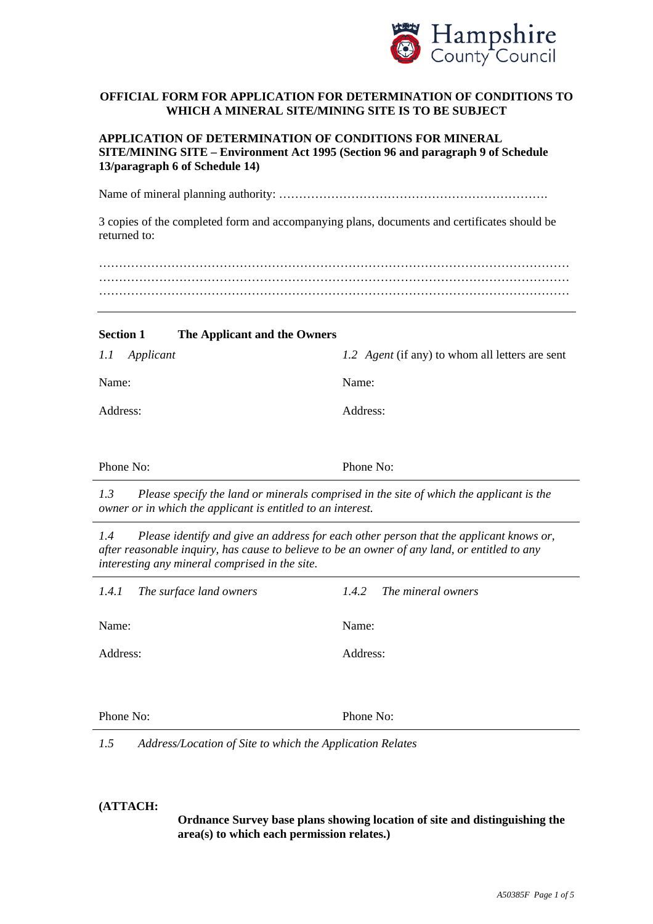

# **OFFICIAL FORM FOR APPLICATION FOR DETERMINATION OF CONDITIONS TO WHICH A MINERAL SITE/MINING SITE IS TO BE SUBJECT**

| APPLICATION OF DETERMINATION OF CONDITIONS FOR MINERAL                          |
|---------------------------------------------------------------------------------|
| SITE/MINING SITE – Environment Act 1995 (Section 96 and paragraph 9 of Schedule |
| 13/paragraph 6 of Schedule 14)                                                  |

Name of mineral planning authority: ………………………………………………………….

3 copies of the completed form and accompanying plans, documents and certificates should be returned to:

……………………………………………………………………………………………………… ……………………………………………………………………………………………………… ………………………………………………………………………………………………………

### **Section 1 The Applicant and the Owners**

| 1.1<br>Applicant | 1.2 Agent (if any) to whom all letters are sent |
|------------------|-------------------------------------------------|
| Name:            | Name:                                           |
| Address:         | Address:                                        |
|                  |                                                 |
| Phone No:        | Phone No:                                       |

*1.3 Please specify the land or minerals comprised in the site of which the applicant is the owner or in which the applicant is entitled to an interest.* 

*1.4 Please identify and give an address for each other person that the applicant knows or, after reasonable inquiry, has cause to believe to be an owner of any land, or entitled to any interesting any mineral comprised in the site.*

| 1.4.1<br>The surface land owners | The mineral owners<br>1.4.2 |
|----------------------------------|-----------------------------|
| Name:                            | Name:                       |
| Address:                         | Address:                    |
|                                  |                             |

Phone No: Phone No:

*1.5 Address/Location of Site to which the Application Relates* 

#### **(ATTACH:**

**Ordnance Survey base plans showing location of site and distinguishing the area(s) to which each permission relates.)**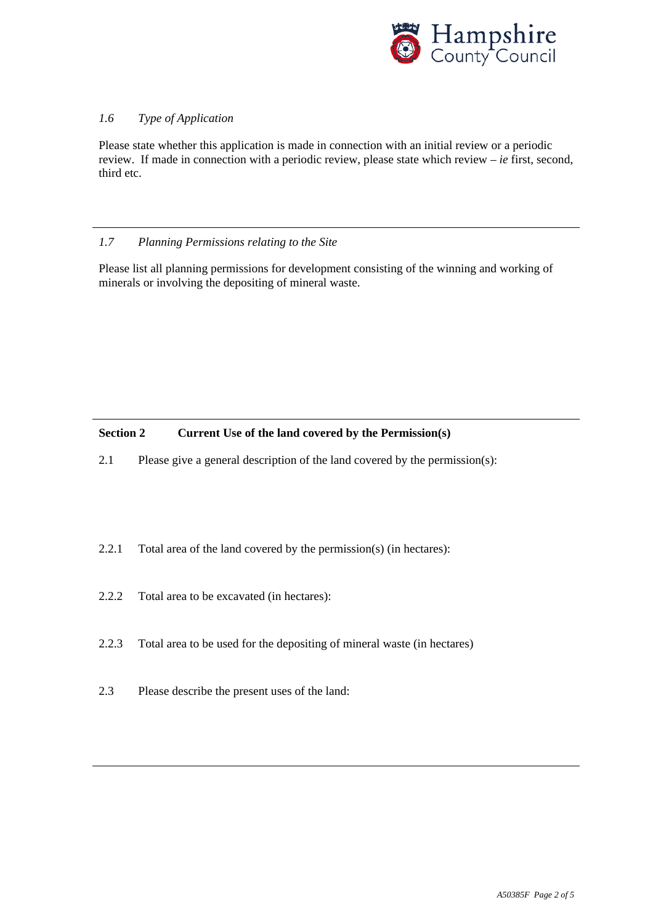

# *1.6 Type of Application*

Please state whether this application is made in connection with an initial review or a periodic review. If made in connection with a periodic review, please state which review – *ie* first, second, third etc.

## *1.7 Planning Permissions relating to the Site*

Please list all planning permissions for development consisting of the winning and working of minerals or involving the depositing of mineral waste.

## **Section 2 Current Use of the land covered by the Permission(s)**

2.1 Please give a general description of the land covered by the permission(s):

- 2.2.1 Total area of the land covered by the permission(s) (in hectares):
- 2.2.2 Total area to be excavated (in hectares):
- 2.2.3 Total area to be used for the depositing of mineral waste (in hectares)
- 2.3 Please describe the present uses of the land: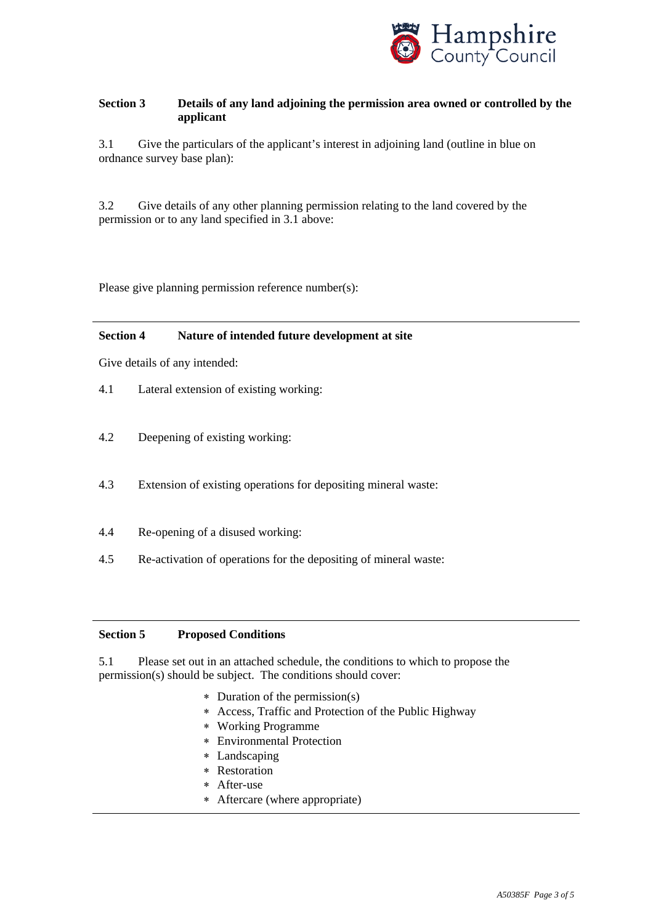

# **Section 3 Details of any land adjoining the permission area owned or controlled by the applicant**

3.1 Give the particulars of the applicant's interest in adjoining land (outline in blue on ordnance survey base plan):

3.2 Give details of any other planning permission relating to the land covered by the permission or to any land specified in 3.1 above:

Please give planning permission reference number(s):

### **Section 4 Nature of intended future development at site**

Give details of any intended:

- 4.1 Lateral extension of existing working:
- 4.2 Deepening of existing working:
- 4.3 Extension of existing operations for depositing mineral waste:
- 4.4 Re-opening of a disused working:
- 4.5 Re-activation of operations for the depositing of mineral waste:

#### **Section 5 Proposed Conditions**

5.1 Please set out in an attached schedule, the conditions to which to propose the permission(s) should be subject. The conditions should cover:

- ∗ Duration of the permission(s)
- ∗ Access, Traffic and Protection of the Public Highway
- ∗ Working Programme
- ∗ Environmental Protection
- ∗ Landscaping
- ∗ Restoration
- ∗ After-use
- ∗ Aftercare (where appropriate)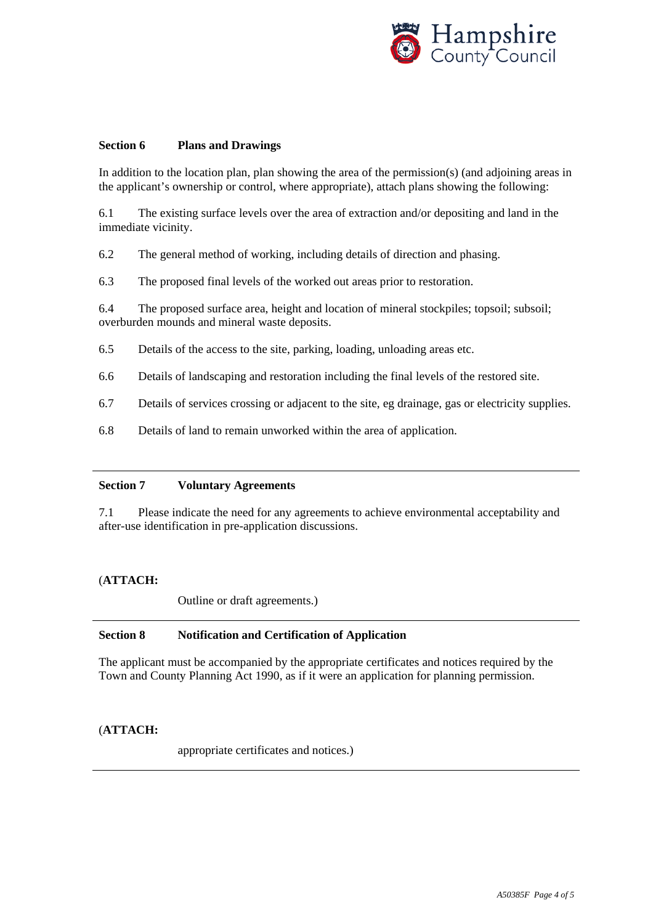

### **Section 6 Plans and Drawings**

In addition to the location plan, plan showing the area of the permission(s) (and adjoining areas in the applicant's ownership or control, where appropriate), attach plans showing the following:

6.1 The existing surface levels over the area of extraction and/or depositing and land in the immediate vicinity.

6.2 The general method of working, including details of direction and phasing.

6.3 The proposed final levels of the worked out areas prior to restoration.

6.4 The proposed surface area, height and location of mineral stockpiles; topsoil; subsoil; overburden mounds and mineral waste deposits.

- 6.5 Details of the access to the site, parking, loading, unloading areas etc.
- 6.6 Details of landscaping and restoration including the final levels of the restored site.
- 6.7 Details of services crossing or adjacent to the site, eg drainage, gas or electricity supplies.
- 6.8 Details of land to remain unworked within the area of application.

### **Section 7 Voluntary Agreements**

7.1 Please indicate the need for any agreements to achieve environmental acceptability and after-use identification in pre-application discussions.

### (**ATTACH:**

Outline or draft agreements.)

### **Section 8 Notification and Certification of Application**

The applicant must be accompanied by the appropriate certificates and notices required by the Town and County Planning Act 1990, as if it were an application for planning permission.

# (**ATTACH:**

appropriate certificates and notices.)